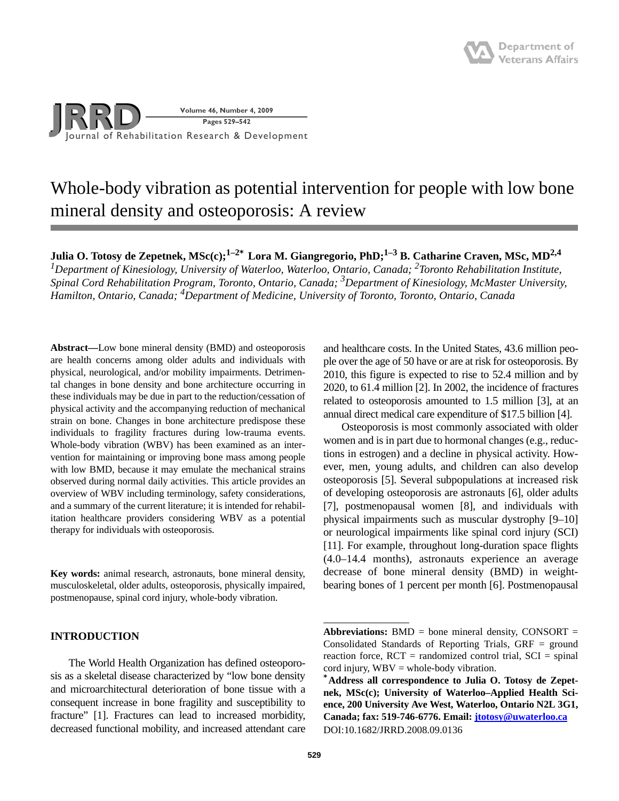

# Whole-body vibration as potential intervention for people with low bone mineral density and osteoporosis: A review

**Julia O. Totosy de Zepetnek, MSc(c);1–2\* Lora M. Giangregorio, PhD;1–3 B. Catharine Craven, MSc, MD2,4** *1Department of Kinesiology, University of Waterloo, Waterloo, Ontario, Canada; 2Toronto Rehabilitation Institute, Spinal Cord Rehabilitation Program, Toronto, Ontario, Canada; 3Department of Kinesiology, McMaster University, Hamilton, Ontario, Canada; <sup>4</sup> Department of Medicine, University of Toronto, Toronto, Ontario, Canada*

**Abstract—**Low bone mineral density (BMD) and osteoporosis are health concerns among older adults and individuals with physical, neurological, and/or mobility impairments. Detrimental changes in bone density and bone architecture occurring in these individuals may be due in part to the reduction/cessation of physical activity and the accompanying reduction of mechanical strain on bone. Changes in bone architecture predispose these individuals to fragility fractures during low-trauma events. Whole-body vibration (WBV) has been examined as an intervention for maintaining or improving bone mass among people with low BMD, because it may emulate the mechanical strains observed during normal daily activities. This article provides an overview of WBV including terminology, safety considerations, and a summary of the current literature; it is intended for rehabilitation healthcare providers considering WBV as a potential therapy for individuals with osteoporosis.

**Key words:** animal research, astronauts, bone mineral density, musculoskeletal, older adults, osteoporosis, physically impaired, postmenopause, spinal cord injury, whole-body vibration.

## **INTRODUCTION**

The World Health Organization has defined osteoporosis as a skeletal disease characterized by "low bone density and microarchitectural deterioration of bone tissue with a consequent increase in bone fragility and susceptibility to fracture" [1]. Fractures can lead to increased morbidity, decreased functional mobility, and increased attendant care

and healthcare costs. In the United States, 43.6 million people over the age of 50 have or are at risk for osteoporosis. By 2010, this figure is expected to rise to 52.4 million and by 2020, to 61.4 million [2]. In 2002, the incidence of fractures related to osteoporosis amounted to 1.5 million [3], at an annual direct medical care expenditure of \$17.5 billion [4].

Osteoporosis is most commonly associated with older women and is in part due to hormonal changes (e.g., reductions in estrogen) and a decline in physical activity. However, men, young adults, and children can also develop osteoporosis [5]. Several subpopulations at increased risk of developing osteoporosis are astronauts [6], older adults [7], postmenopausal women [8], and individuals with physical impairments such as muscular dystrophy [9–10] or neurological impairments like spinal cord injury (SCI) [11]. For example, throughout long-duration space flights (4.0–14.4 months), astronauts experience an average decrease of bone mineral density (BMD) in weightbearing bones of 1 percent per month [6]. Postmenopausal

 $\bf Abbreviations: BMD = bone mineral density, CONSORT =$ Consolidated Standards of Reporting Trials, GRF = ground reaction force,  $RCT =$  randomized control trial,  $SCI =$  spinal cord injury,  $WBV =$  whole-body vibration.

**<sup>\*</sup>Address all correspondence to Julia O. Totosy de Zepetnek, MSc(c); University of Waterloo–Applied Health Science, 200 University Ave West, Waterloo, Ontario N2L 3G1, Canada; fax: 519-746-6776. Email: jtotosy@uwaterloo.ca** DOI:10.1682/JRRD.2008.09.0136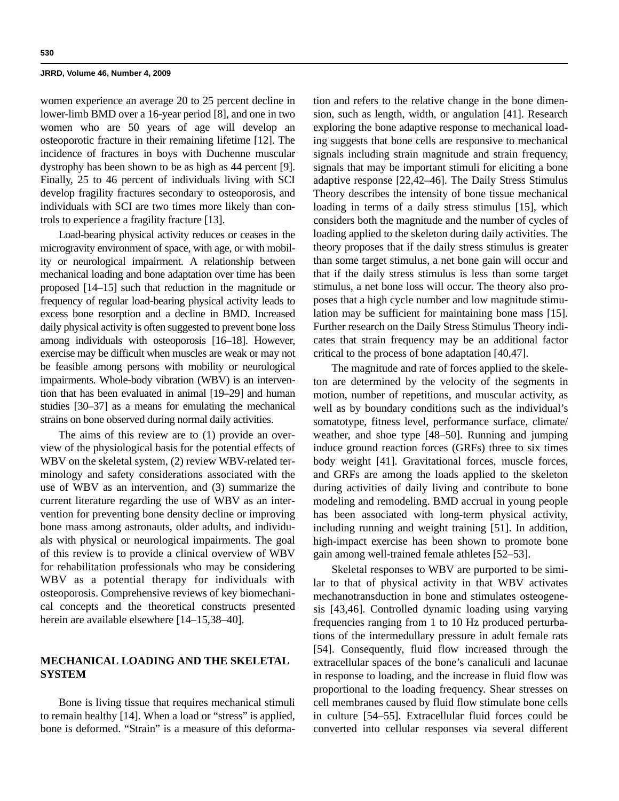women experience an average 20 to 25 percent decline in lower-limb BMD over a 16-year period [8], and one in two women who are 50 years of age will develop an osteoporotic fracture in their remaining lifetime [12]. The incidence of fractures in boys with Duchenne muscular dystrophy has been shown to be as high as 44 percent [9]. Finally, 25 to 46 percent of individuals living with SCI develop fragility fractures secondary to osteoporosis, and individuals with SCI are two times more likely than controls to experience a fragility fracture [13].

Load-bearing physical activity reduces or ceases in the microgravity environment of space, with age, or with mobility or neurological impairment. A relationship between mechanical loading and bone adaptation over time has been proposed [14–15] such that reduction in the magnitude or frequency of regular load-bearing physical activity leads to excess bone resorption and a decline in BMD. Increased daily physical activity is often suggested to prevent bone loss among individuals with osteoporosis [16–18]. However, exercise may be difficult when muscles are weak or may not be feasible among persons with mobility or neurological impairments. Whole-body vibration (WBV) is an intervention that has been evaluated in animal [19–29] and human studies [30–37] as a means for emulating the mechanical strains on bone observed during normal daily activities.

The aims of this review are to (1) provide an overview of the physiological basis for the potential effects of WBV on the skeletal system, (2) review WBV-related terminology and safety considerations associated with the use of WBV as an intervention, and (3) summarize the current literature regarding the use of WBV as an intervention for preventing bone density decline or improving bone mass among astronauts, older adults, and individuals with physical or neurological impairments. The goal of this review is to provide a clinical overview of WBV for rehabilitation professionals who may be considering WBV as a potential therapy for individuals with osteoporosis. Comprehensive reviews of key biomechanical concepts and the theoretical constructs presented herein are available elsewhere [14–15,38–40].

# **MECHANICAL LOADING AND THE SKELETAL SYSTEM**

Bone is living tissue that requires mechanical stimuli to remain healthy [14]. When a load or "stress" is applied, bone is deformed. "Strain" is a measure of this deformation and refers to the relative change in the bone dimension, such as length, width, or angulation [41]. Research exploring the bone adaptive response to mechanical loading suggests that bone cells are responsive to mechanical signals including strain magnitude and strain frequency, signals that may be important stimuli for eliciting a bone adaptive response [22,42–46]. The Daily Stress Stimulus Theory describes the intensity of bone tissue mechanical loading in terms of a daily stress stimulus [15], which considers both the magnitude and the number of cycles of loading applied to the skeleton during daily activities. The theory proposes that if the daily stress stimulus is greater than some target stimulus, a net bone gain will occur and that if the daily stress stimulus is less than some target stimulus, a net bone loss will occur. The theory also proposes that a high cycle number and low magnitude stimulation may be sufficient for maintaining bone mass [15]. Further research on the Daily Stress Stimulus Theory indicates that strain frequency may be an additional factor critical to the process of bone adaptation [40,47].

The magnitude and rate of forces applied to the skeleton are determined by the velocity of the segments in motion, number of repetitions, and muscular activity, as well as by boundary conditions such as the individual's somatotype, fitness level, performance surface, climate/ weather, and shoe type [48–50]. Running and jumping induce ground reaction forces (GRFs) three to six times body weight [41]. Gravitational forces, muscle forces, and GRFs are among the loads applied to the skeleton during activities of daily living and contribute to bone modeling and remodeling. BMD accrual in young people has been associated with long-term physical activity, including running and weight training [51]. In addition, high-impact exercise has been shown to promote bone gain among well-trained female athletes [52–53].

Skeletal responses to WBV are purported to be similar to that of physical activity in that WBV activates mechanotransduction in bone and stimulates osteogenesis [43,46]. Controlled dynamic loading using varying frequencies ranging from 1 to 10 Hz produced perturbations of the intermedullary pressure in adult female rats [54]. Consequently, fluid flow increased through the extracellular spaces of the bone's canaliculi and lacunae in response to loading, and the increase in fluid flow was proportional to the loading frequency. Shear stresses on cell membranes caused by fluid flow stimulate bone cells in culture [54–55]. Extracellular fluid forces could be converted into cellular responses via several different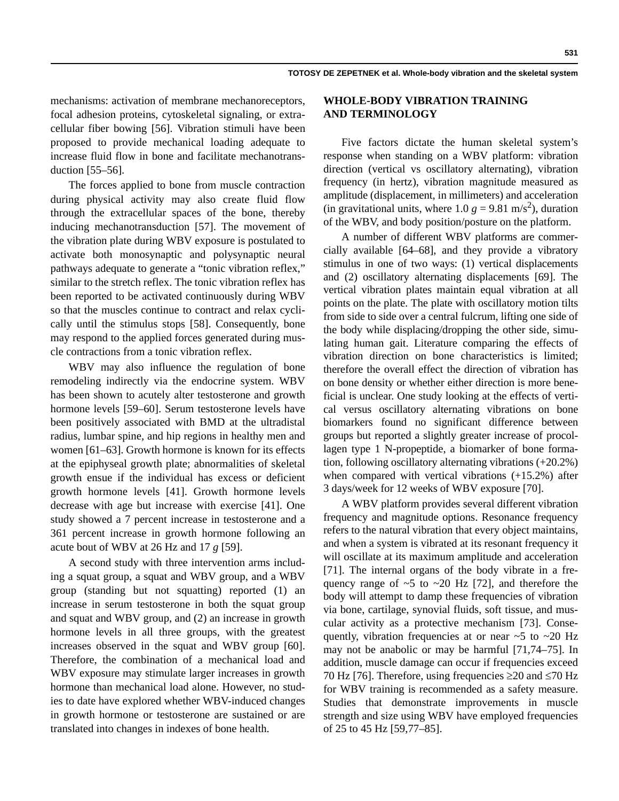mechanisms: activation of membrane mechanoreceptors, focal adhesion proteins, cytoskeletal signaling, or extracellular fiber bowing [56]. Vibration stimuli have been proposed to provide mechanical loading adequate to increase fluid flow in bone and facilitate mechanotransduction [55–56].

The forces applied to bone from muscle contraction during physical activity may also create fluid flow through the extracellular spaces of the bone, thereby inducing mechanotransduction [57]. The movement of the vibration plate during WBV exposure is postulated to activate both monosynaptic and polysynaptic neural pathways adequate to generate a "tonic vibration reflex," similar to the stretch reflex. The tonic vibration reflex has been reported to be activated continuously during WBV so that the muscles continue to contract and relax cyclically until the stimulus stops [58]. Consequently, bone may respond to the applied forces generated during muscle contractions from a tonic vibration reflex.

WBV may also influence the regulation of bone remodeling indirectly via the endocrine system. WBV has been shown to acutely alter testosterone and growth hormone levels [59–60]. Serum testosterone levels have been positively associated with BMD at the ultradistal radius, lumbar spine, and hip regions in healthy men and women [61–63]. Growth hormone is known for its effects at the epiphyseal growth plate; abnormalities of skeletal growth ensue if the individual has excess or deficient growth hormone levels [41]. Growth hormone levels decrease with age but increase with exercise [41]. One study showed a 7 percent increase in testosterone and a 361 percent increase in growth hormone following an acute bout of WBV at 26 Hz and 17 *g* [59].

A second study with three intervention arms including a squat group, a squat and WBV group, and a WBV group (standing but not squatting) reported (1) an increase in serum testosterone in both the squat group and squat and WBV group, and (2) an increase in growth hormone levels in all three groups, with the greatest increases observed in the squat and WBV group [60]. Therefore, the combination of a mechanical load and WBV exposure may stimulate larger increases in growth hormone than mechanical load alone. However, no studies to date have explored whether WBV-induced changes in growth hormone or testosterone are sustained or are translated into changes in indexes of bone health.

## **WHOLE-BODY VIBRATION TRAINING AND TERMINOLOGY**

Five factors dictate the human skeletal system's response when standing on a WBV platform: vibration direction (vertical vs oscillatory alternating), vibration frequency (in hertz), vibration magnitude measured as amplitude (displacement, in millimeters) and acceleration (in gravitational units, where 1.0  $g = 9.81 \text{ m/s}^2$ ), duration of the WBV, and body position/posture on the platform.

A number of different WBV platforms are commercially available [64–68], and they provide a vibratory stimulus in one of two ways: (1) vertical displacements and (2) oscillatory alternating displacements [69]. The vertical vibration plates maintain equal vibration at all points on the plate. The plate with oscillatory motion tilts from side to side over a central fulcrum, lifting one side of the body while displacing/dropping the other side, simulating human gait. Literature comparing the effects of vibration direction on bone characteristics is limited; therefore the overall effect the direction of vibration has on bone density or whether either direction is more beneficial is unclear. One study looking at the effects of vertical versus oscillatory alternating vibrations on bone biomarkers found no significant difference between groups but reported a slightly greater increase of procollagen type 1 N-propeptide, a biomarker of bone formation, following oscillatory alternating vibrations (+20.2%) when compared with vertical vibrations (+15.2%) after 3 days/week for 12 weeks of WBV exposure [70].

A WBV platform provides several different vibration frequency and magnitude options. Resonance frequency refers to the natural vibration that every object maintains, and when a system is vibrated at its resonant frequency it will oscillate at its maximum amplitude and acceleration [71]. The internal organs of the body vibrate in a frequency range of  $~5$  to  $~20$  Hz [72], and therefore the body will attempt to damp these frequencies of vibration via bone, cartilage, synovial fluids, soft tissue, and muscular activity as a protective mechanism [73]. Consequently, vibration frequencies at or near  $\sim$  5 to  $\sim$  20 Hz may not be anabolic or may be harmful [71,74–75]. In addition, muscle damage can occur if frequencies exceed 70 Hz [76]. Therefore, using frequencies  $\geq$ 20 and  $\leq$ 70 Hz for WBV training is recommended as a safety measure. Studies that demonstrate improvements in muscle strength and size using WBV have employed frequencies of 25 to 45 Hz [59,77–85].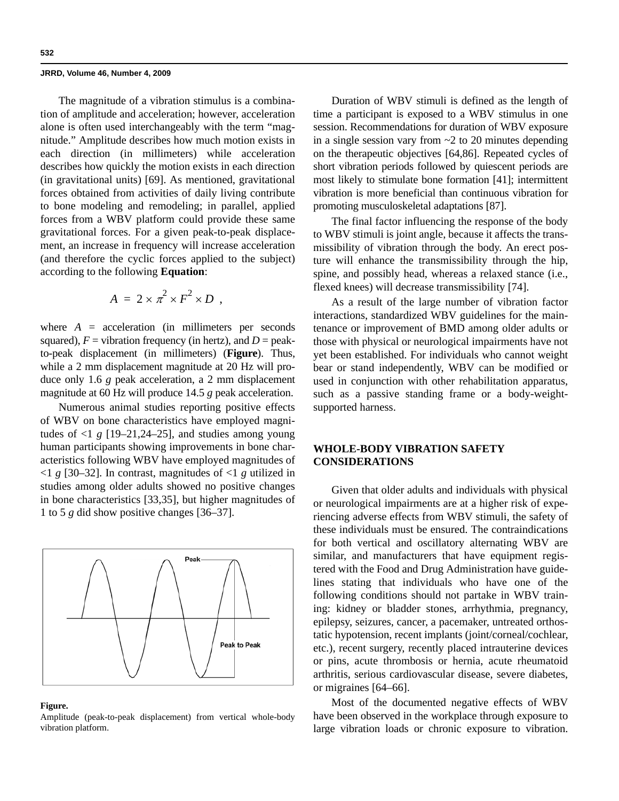The magnitude of a vibration stimulus is a combination of amplitude and acceleration; however, acceleration alone is often used interchangeably with the term "magnitude." Amplitude describes how much motion exists in each direction (in millimeters) while acceleration describes how quickly the motion exists in each direction (in gravitational units) [69]. As mentioned, gravitational forces obtained from activities of daily living contribute to bone modeling and remodeling; in parallel, applied forces from a WBV platform could provide these same gravitational forces. For a given peak-to-peak displacement, an increase in frequency will increase acceleration (and therefore the cyclic forces applied to the subject) according to the following **Equation**:

$$
A = 2 \times \pi^2 \times F^2 \times D ,
$$

where  $A =$  acceleration (in millimeters per seconds squared),  $F =$  vibration frequency (in hertz), and  $D =$  peakto-peak displacement (in millimeters) (**Figure**). Thus, while a 2 mm displacement magnitude at 20 Hz will produce only 1.6 *g* peak acceleration, a 2 mm displacement magnitude at 60 Hz will produce 14.5 *g* peak acceleration.

Numerous animal studies reporting positive effects of WBV on bone characteristics have employed magnitudes of  $\langle 1 \rangle$  g [19–21,24–25], and studies among young human participants showing improvements in bone characteristics following WBV have employed magnitudes of  $\langle 1 \rangle$  g [30–32]. In contrast, magnitudes of  $\langle 1 \rangle$  g utilized in studies among older adults showed no positive changes in bone characteristics [33,35], but higher magnitudes of 1 to 5 *g* did show positive changes [36–37].



#### **Figure.**

Amplitude (peak-to-peak displacement) from vertical whole-body vibration platform.

Duration of WBV stimuli is defined as the length of time a participant is exposed to a WBV stimulus in one session. Recommendations for duration of WBV exposure in a single session vary from  $\sim$  2 to 20 minutes depending on the therapeutic objectives [64,86]. Repeated cycles of short vibration periods followed by quiescent periods are most likely to stimulate bone formation [41]; intermittent vibration is more beneficial than continuous vibration for promoting musculoskeletal adaptations [87].

The final factor influencing the response of the body to WBV stimuli is joint angle, because it affects the transmissibility of vibration through the body. An erect posture will enhance the transmissibility through the hip, spine, and possibly head, whereas a relaxed stance (i.e., flexed knees) will decrease transmissibility [74].

As a result of the large number of vibration factor interactions, standardized WBV guidelines for the maintenance or improvement of BMD among older adults or those with physical or neurological impairments have not yet been established. For individuals who cannot weight bear or stand independently, WBV can be modified or used in conjunction with other rehabilitation apparatus, such as a passive standing frame or a body-weightsupported harness.

# **WHOLE-BODY VIBRATION SAFETY CONSIDERATIONS**

Given that older adults and individuals with physical or neurological impairments are at a higher risk of experiencing adverse effects from WBV stimuli, the safety of these individuals must be ensured. The contraindications for both vertical and oscillatory alternating WBV are similar, and manufacturers that have equipment registered with the Food and Drug Administration have guidelines stating that individuals who have one of the following conditions should not partake in WBV training: kidney or bladder stones, arrhythmia, pregnancy, epilepsy, seizures, cancer, a pacemaker, untreated orthostatic hypotension, recent implants (joint/corneal/cochlear, etc.), recent surgery, recently placed intrauterine devices or pins, acute thrombosis or hernia, acute rheumatoid arthritis, serious cardiovascular disease, severe diabetes, or migraines [64–66].

Most of the documented negative effects of WBV have been observed in the workplace through exposure to large vibration loads or chronic exposure to vibration.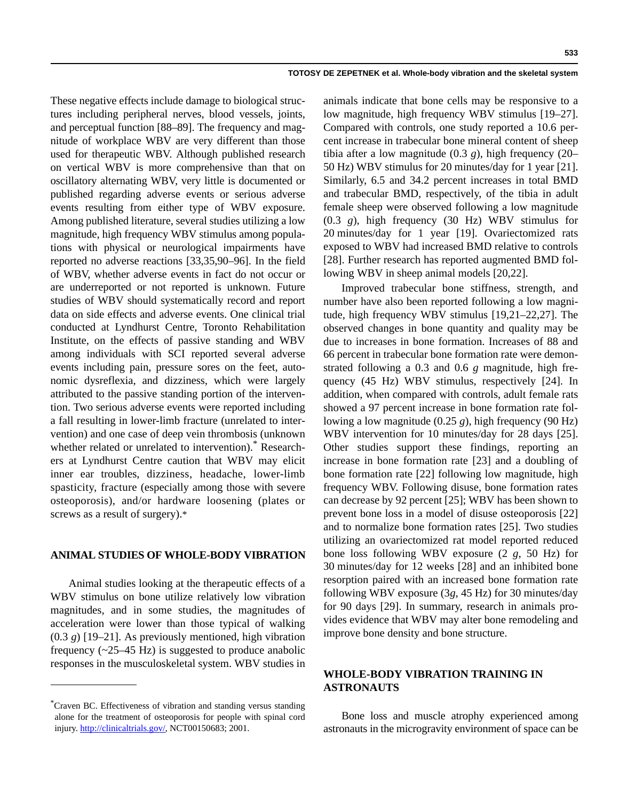These negative effects include damage to biological structures including peripheral nerves, blood vessels, joints, and perceptual function [88–89]. The frequency and magnitude of workplace WBV are very different than those used for therapeutic WBV. Although published research on vertical WBV is more comprehensive than that on oscillatory alternating WBV, very little is documented or published regarding adverse events or serious adverse events resulting from either type of WBV exposure. Among published literature, several studies utilizing a low magnitude, high frequency WBV stimulus among populations with physical or neurological impairments have reported no adverse reactions [33,35,90–96]. In the field of WBV, whether adverse events in fact do not occur or are underreported or not reported is unknown. Future studies of WBV should systematically record and report data on side effects and adverse events. One clinical trial conducted at Lyndhurst Centre, Toronto Rehabilitation Institute, on the effects of passive standing and WBV among individuals with SCI reported several adverse events including pain, pressure sores on the feet, autonomic dysreflexia, and dizziness, which were largely attributed to the passive standing portion of the intervention. Two serious adverse events were reported including a fall resulting in lower-limb fracture (unrelated to intervention) and one case of deep vein thrombosis (unknown whether related or unrelated to intervention).<sup>\*</sup> Researchers at Lyndhurst Centre caution that WBV may elicit inner ear troubles, dizziness, headache, lower-limb spasticity, fracture (especially among those with severe osteoporosis), and/or hardware loosening (plates or screws as a result of surgery).\*

## **ANIMAL STUDIES OF WHOLE-BODY VIBRATION**

Animal studies looking at the therapeutic effects of a WBV stimulus on bone utilize relatively low vibration magnitudes, and in some studies, the magnitudes of acceleration were lower than those typical of walking (0.3 *g*) [19–21]. As previously mentioned, high vibration frequency (~25–45 Hz) is suggested to produce anabolic responses in the musculoskeletal system. WBV studies in

animals indicate that bone cells may be responsive to a low magnitude, high frequency WBV stimulus [19–27]. Compared with controls, one study reported a 10.6 percent increase in trabecular bone mineral content of sheep tibia after a low magnitude (0.3 *g*), high frequency (20– 50 Hz) WBV stimulus for 20 minutes/day for 1 year [21]. Similarly, 6.5 and 34.2 percent increases in total BMD and trabecular BMD, respectively, of the tibia in adult female sheep were observed following a low magnitude (0.3 *g*), high frequency (30 Hz) WBV stimulus for 20 minutes/day for 1 year [19]. Ovariectomized rats exposed to WBV had increased BMD relative to controls [28]. Further research has reported augmented BMD following WBV in sheep animal models [20,22].

Improved trabecular bone stiffness, strength, and number have also been reported following a low magnitude, high frequency WBV stimulus [19,21–22,27]. The observed changes in bone quantity and quality may be due to increases in bone formation. Increases of 88 and 66 percent in trabecular bone formation rate were demonstrated following a 0.3 and 0.6 *g* magnitude, high frequency (45 Hz) WBV stimulus, respectively [24]. In addition, when compared with controls, adult female rats showed a 97 percent increase in bone formation rate following a low magnitude (0.25 *g*), high frequency (90 Hz) WBV intervention for 10 minutes/day for 28 days [25]. Other studies support these findings, reporting an increase in bone formation rate [23] and a doubling of bone formation rate [22] following low magnitude, high frequency WBV. Following disuse, bone formation rates can decrease by 92 percent [25]; WBV has been shown to prevent bone loss in a model of disuse osteoporosis [22] and to normalize bone formation rates [25]. Two studies utilizing an ovariectomized rat model reported reduced bone loss following WBV exposure (2 *g*, 50 Hz) for 30 minutes/day for 12 weeks [28] and an inhibited bone resorption paired with an increased bone formation rate following WBV exposure (3*g*, 45 Hz) for 30 minutes/day for 90 days [29]. In summary, research in animals provides evidence that WBV may alter bone remodeling and improve bone density and bone structure.

# **WHOLE-BODY VIBRATION TRAINING IN ASTRONAUTS**

Bone loss and muscle atrophy experienced among astronauts in the microgravity environment of space can be

<sup>\*</sup> Craven BC. Effectiveness of vibration and standing versus standing alone for the treatment of osteoporosis for people with spinal cord injury. http://clinicaltrials.gov/, NCT00150683; 2001.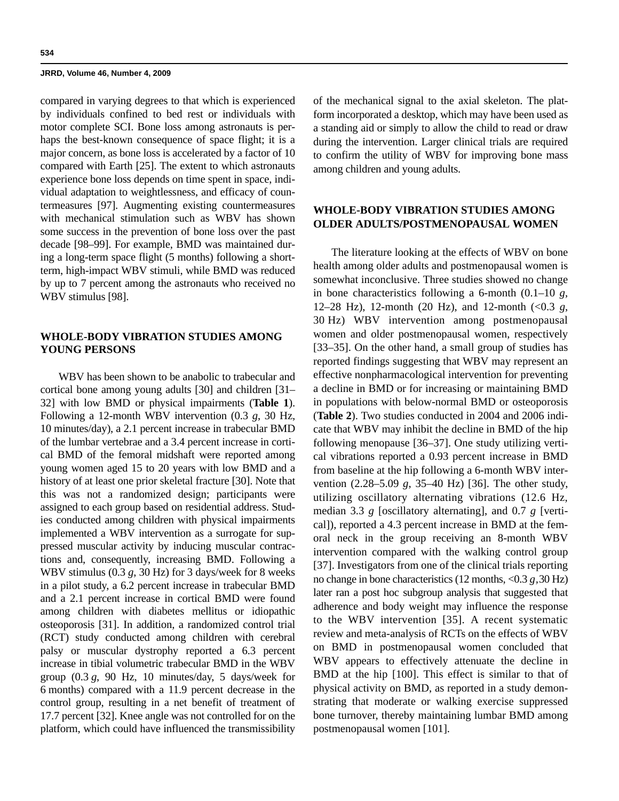compared in varying degrees to that which is experienced by individuals confined to bed rest or individuals with motor complete SCI. Bone loss among astronauts is perhaps the best-known consequence of space flight; it is a major concern, as bone loss is accelerated by a factor of 10 compared with Earth [25]. The extent to which astronauts experience bone loss depends on time spent in space, individual adaptation to weightlessness, and efficacy of countermeasures [97]. Augmenting existing countermeasures with mechanical stimulation such as WBV has shown some success in the prevention of bone loss over the past decade [98–99]. For example, BMD was maintained during a long-term space flight (5 months) following a shortterm, high-impact WBV stimuli, while BMD was reduced by up to 7 percent among the astronauts who received no WBV stimulus [98].

## **WHOLE-BODY VIBRATION STUDIES AMONG YOUNG PERSONS**

WBV has been shown to be anabolic to trabecular and cortical bone among young adults [30] and children [31– 32] with low BMD or physical impairments (**Table 1**). Following a 12-month WBV intervention (0.3 *g*, 30 Hz, 10 minutes/day), a 2.1 percent increase in trabecular BMD of the lumbar vertebrae and a 3.4 percent increase in cortical BMD of the femoral midshaft were reported among young women aged 15 to 20 years with low BMD and a history of at least one prior skeletal fracture [30]. Note that this was not a randomized design; participants were assigned to each group based on residential address. Studies conducted among children with physical impairments implemented a WBV intervention as a surrogate for suppressed muscular activity by inducing muscular contractions and, consequently, increasing BMD. Following a WBV stimulus (0.3 *g*, 30 Hz) for 3 days/week for 8 weeks in a pilot study, a 6.2 percent increase in trabecular BMD and a 2.1 percent increase in cortical BMD were found among children with diabetes mellitus or idiopathic osteoporosis [31]. In addition, a randomized control trial (RCT) study conducted among children with cerebral palsy or muscular dystrophy reported a 6.3 percent increase in tibial volumetric trabecular BMD in the WBV group (0.3 *g*, 90 Hz, 10 minutes/day, 5 days/week for 6 months) compared with a 11.9 percent decrease in the control group, resulting in a net benefit of treatment of 17.7 percent [32]. Knee angle was not controlled for on the platform, which could have influenced the transmissibility

of the mechanical signal to the axial skeleton. The platform incorporated a desktop, which may have been used as a standing aid or simply to allow the child to read or draw during the intervention. Larger clinical trials are required to confirm the utility of WBV for improving bone mass among children and young adults.

# **WHOLE-BODY VIBRATION STUDIES AMONG OLDER ADULTS/POSTMENOPAUSAL WOMEN**

The literature looking at the effects of WBV on bone health among older adults and postmenopausal women is somewhat inconclusive. Three studies showed no change in bone characteristics following a 6-month (0.1–10 *g*, 12–28 Hz), 12-month (20 Hz), and 12-month (<0.3 *g*, 30 Hz) WBV intervention among postmenopausal women and older postmenopausal women, respectively [33–35]. On the other hand, a small group of studies has reported findings suggesting that WBV may represent an effective nonpharmacological intervention for preventing a decline in BMD or for increasing or maintaining BMD in populations with below-normal BMD or osteoporosis (**Table 2**). Two studies conducted in 2004 and 2006 indicate that WBV may inhibit the decline in BMD of the hip following menopause [36–37]. One study utilizing vertical vibrations reported a 0.93 percent increase in BMD from baseline at the hip following a 6-month WBV intervention (2.28–5.09 *g*, 35–40 Hz) [36]. The other study, utilizing oscillatory alternating vibrations (12.6 Hz, median 3.3 *g* [oscillatory alternating], and 0.7 *g* [vertical]), reported a 4.3 percent increase in BMD at the femoral neck in the group receiving an 8-month WBV intervention compared with the walking control group [37]. Investigators from one of the clinical trials reporting no change in bone characteristics (12 months, <0.3 *g,*30 Hz) later ran a post hoc subgroup analysis that suggested that adherence and body weight may influence the response to the WBV intervention [35]. A recent systematic review and meta-analysis of RCTs on the effects of WBV on BMD in postmenopausal women concluded that WBV appears to effectively attenuate the decline in BMD at the hip [100]. This effect is similar to that of physical activity on BMD, as reported in a study demonstrating that moderate or walking exercise suppressed bone turnover, thereby maintaining lumbar BMD among postmenopausal women [101].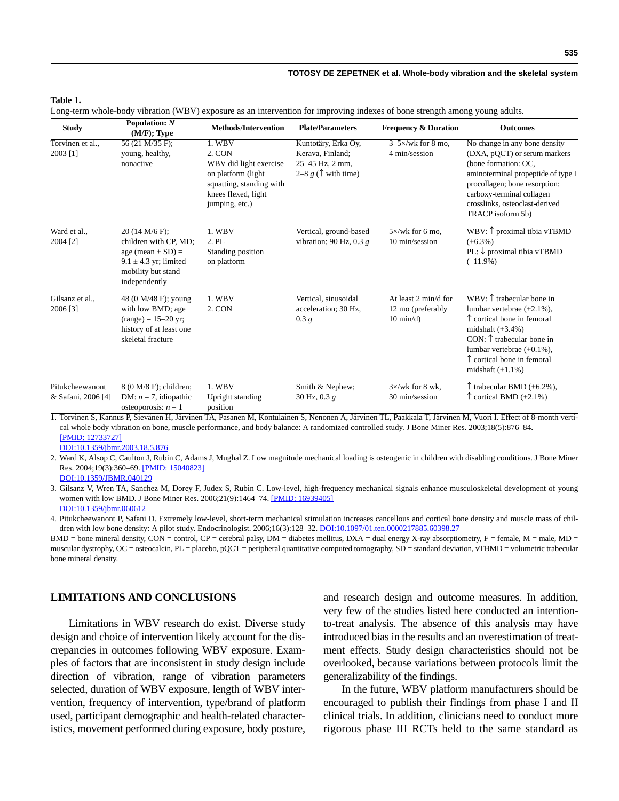## **Table 1.**

Long-term whole-body vibration (WBV) exposure as an intervention for improving indexes of bone strength among young adults.

| <b>Study</b>                          | Population: $N$<br>(M/F); Type                                                                                                       | <b>Methods/Intervention</b>                                                                                                            | <b>Plate/Parameters</b>                                                                   | <b>Frequency &amp; Duration</b>                                 | <b>Outcomes</b>                                                                                                                                                                                                                                                        |
|---------------------------------------|--------------------------------------------------------------------------------------------------------------------------------------|----------------------------------------------------------------------------------------------------------------------------------------|-------------------------------------------------------------------------------------------|-----------------------------------------------------------------|------------------------------------------------------------------------------------------------------------------------------------------------------------------------------------------------------------------------------------------------------------------------|
| Torvinen et al<br>2003 [1]            | 56 (21 M/35 F);<br>young, healthy,<br>nonactive                                                                                      | 1. WBV<br>2. CON<br>WBV did light exercise<br>on platform (light)<br>squatting, standing with<br>knees flexed, light<br>jumping, etc.) | Kuntotäry, Erka Oy,<br>Kerava, Finland;<br>25-45 Hz, 2 mm,<br>2–8 $g(\uparrow$ with time) | $3-5\times$ /wk for 8 mo,<br>4 min/session                      | No change in any bone density<br>(DXA, pQCT) or serum markers<br>(bone formation: OC,<br>aminoterminal propeptide of type I<br>procollagen; bone resorption:<br>carboxy-terminal collagen<br>crosslinks, osteoclast-derived<br>TRACP isoform 5b)                       |
| Ward et al.,<br>2004 [2]              | 20 (14 M/6 F);<br>children with CP, MD;<br>age (mean $\pm$ SD) =<br>$9.1 \pm 4.3$ yr; limited<br>mobility but stand<br>independently | 1. WBV<br>2. PL<br>Standing position<br>on platform                                                                                    | Vertical, ground-based<br>vibration; 90 Hz, 0.3 $g$                                       | $5 \times$ /wk for 6 mo.<br>10 min/session                      | WBV: $\uparrow$ proximal tibia vTBMD<br>$(+6.3\%)$<br>PL: ↓ proximal tibia vTBMD<br>$(-11.9\%)$                                                                                                                                                                        |
| Gilsanz et al.,<br>2006 [3]           | 48 (0 M/48 F); young<br>with low BMD; age<br>$(range) = 15-20$ yr:<br>history of at least one<br>skeletal fracture                   | 1. WBV<br>2. CON                                                                                                                       | Vertical, sinusoidal<br>acceleration; 30 Hz,<br>0.3 g                                     | At least 2 min/d for<br>12 mo (preferably<br>$10 \text{ min/d}$ | WBV: $\uparrow$ trabecular bone in<br>lumbar vertebrae $(+2.1\%)$ ,<br>$\uparrow$ cortical bone in femoral<br>midshaft $(+3.4\%)$<br>CON: $\uparrow$ trabecular bone in<br>lumbar vertebrae $(+0.1\%)$ ,<br>$\uparrow$ cortical bone in femoral<br>midshaft $(+1.1\%)$ |
| Pitukcheewanont<br>& Safani, 2006 [4] | 8 (0 M/8 F); children;<br>DM: $n = 7$ , idiopathic<br>osteoporosis: $n = 1$                                                          | 1. WBV<br>Upright standing<br>position                                                                                                 | Smith & Nephew;<br>30 Hz, 0.3 $g$                                                         | $3\times$ /wk for 8 wk.<br>30 min/session                       | $\uparrow$ trabecular BMD (+6.2%),<br>$\uparrow$ cortical BMD (+2.1%)                                                                                                                                                                                                  |

1. Torvinen S, Kannus P, Sievänen H, Järvinen TA, Pasanen M, Kontulainen S, Nenonen A, Järvinen TL, Paakkala T, Järvinen M, Vuori I. Effect of 8-month vertical whole body vibration on bone, muscle performance, and body balance: A randomized controlled study. J Bone Miner Res. 2003;18(5):876–84. [\[PMID: 12733727\]](http://www.ncbi.nlm.nih.gov/pubmed/12733727)

[DOI:10.1359/jbmr.2003.18.5.876](http://dx.doi.org/10.1359/jbmr.2003.18.5.876)

2. Ward K, Alsop C, Caulton J, Rubin C, Adams J, Mughal Z. Low magnitude mechanical loading is osteogenic in children with disabling conditions. J Bone Miner Res. 2004;19(3):360–69. [\[PMID: 15040823\]](http://www.ncbi.nlm.nih.gov/pubmed/15040823)

[DOI:10.1359/JBMR.040129](http://dx.doi.org/10.1359/JBMR.040129)

3. Gilsanz V, Wren TA, Sanchez M, Dorey F, Judex S, Rubin C. Low-level, high-frequency mechanical signals enhance musculoskeletal development of young women with low BMD. J Bone Miner Res. 2006;21(9):1464–74. [\[PMID: 16939405\]](http://www.ncbi.nlm.nih.gov/pubmed/16939405) [DOI:10.1359/jbmr.060612](http://dx.doi.org/10.1359/jbmr.060612)

4. Pitukcheewanont P, Safani D. Extremely low-level, short-term mechanical stimulation increases cancellous and cortical bone density and muscle mass of chil-dren with low bone density: A pilot study. Endocrinologist. 2006;16(3):128-32. [DOI:10.1097/01.ten.0000217885.60398.27](http://dx.doi.org/10.1097/01.ten.0000217885.60398.27)

 $BMD =$  bone mineral density,  $CON =$  control,  $CP =$  cerebral palsy,  $DM =$  diabetes mellitus,  $DXA =$  dual energy X-ray absorptiometry,  $F =$  female,  $M =$  male,  $MD =$ muscular dystrophy, OC = osteocalcin, PL = placebo, pQCT = peripheral quantitative computed tomography, SD = standard deviation, vTBMD = volumetric trabecular bone mineral density.

## **LIMITATIONS AND CONCLUSIONS**

Limitations in WBV research do exist. Diverse study design and choice of intervention likely account for the discrepancies in outcomes following WBV exposure. Examples of factors that are inconsistent in study design include direction of vibration, range of vibration parameters selected, duration of WBV exposure, length of WBV intervention, frequency of intervention, type/brand of platform used, participant demographic and health-related characteristics, movement performed during exposure, body posture, and research design and outcome measures. In addition, very few of the studies listed here conducted an intentionto-treat analysis. The absence of this analysis may have introduced bias in the results and an overestimation of treatment effects. Study design characteristics should not be overlooked, because variations between protocols limit the generalizability of the findings.

In the future, WBV platform manufacturers should be encouraged to publish their findings from phase I and II clinical trials. In addition, clinicians need to conduct more rigorous phase III RCTs held to the same standard as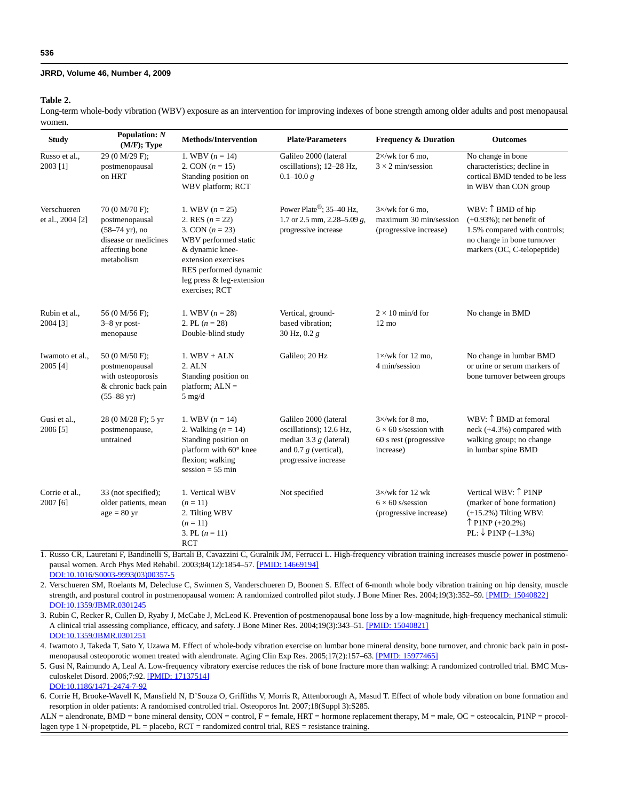#### **Table 2.**

Long-term whole-body vibration (WBV) exposure as an intervention for improving indexes of bone strength among older adults and post menopausal women.

| <b>Study</b>                    | Population: $N$<br>$(M/F);$ Type                                                                                      | <b>Methods/Intervention</b>                                                                                                                                                                           | <b>Plate/Parameters</b>                                                                                                         | <b>Frequency &amp; Duration</b>                                                                | <b>Outcomes</b>                                                                                                                                |
|---------------------------------|-----------------------------------------------------------------------------------------------------------------------|-------------------------------------------------------------------------------------------------------------------------------------------------------------------------------------------------------|---------------------------------------------------------------------------------------------------------------------------------|------------------------------------------------------------------------------------------------|------------------------------------------------------------------------------------------------------------------------------------------------|
| Russo et al.,<br>2003 [1]       | 29 (0 M/29 F);<br>postmenopausal<br>on HRT                                                                            | 1. WBV $(n = 14)$<br>2. CON $(n = 15)$<br>Standing position on<br>WBV platform; RCT                                                                                                                   | Galileo 2000 (lateral<br>oscillations); 12-28 Hz,<br>$0.1 - 10.0 g$                                                             | $2 \times$ /wk for 6 mo.<br>$3 \times 2$ min/session                                           | No change in bone<br>characteristics; decline in<br>cortical BMD tended to be less<br>in WBV than CON group                                    |
| Verschueren<br>et al., 2004 [2] | 70 (0 M/70 F);<br>postmenopausal<br>$(58-74 \text{ yr})$ , no<br>disease or medicines<br>affecting bone<br>metabolism | 1. WBV $(n = 25)$<br>2. RES $(n = 22)$<br>3. CON $(n = 23)$<br>WBV performed static<br>& dynamic knee-<br>extension exercises<br>RES performed dynamic<br>leg press & leg-extension<br>exercises; RCT | Power Plate®; 35-40 Hz,<br>1.7 or 2.5 mm, 2.28–5.09 g,<br>progressive increase                                                  | $3 \times$ /wk for 6 mo.<br>$maximum$ 30 $min/session$<br>(progressive increase)               | WBV: ↑ BMD of hip<br>$(+0.93\%)$ ; net benefit of<br>1.5% compared with controls;<br>no change in bone turnover<br>markers (OC, C-telopeptide) |
| Rubin et al.,<br>2004 [3]       | 56 (0 M/56 F);<br>$3-8$ yr post-<br>menopause                                                                         | 1. WBV $(n = 28)$<br>2. PL $(n = 28)$<br>Double-blind study                                                                                                                                           | Vertical, ground-<br>based vibration:<br>30 Hz, $0.2 g$                                                                         | $2 \times 10$ min/d for<br>$12 \text{ mo}$                                                     | No change in BMD                                                                                                                               |
| Iwamoto et al.,<br>2005 [4]     | 50 (0 M/50 F);<br>postmenopausal<br>with osteoporosis<br>& chronic back pain<br>$(55 - 88 \text{ yr})$                | $1.$ WBV + ALN<br>2. ALN<br>Standing position on<br>platform; $ALN =$<br>$5$ mg/d                                                                                                                     | Galileo; 20 Hz                                                                                                                  | $1 \times$ /wk for 12 mo,<br>4 min/session                                                     | No change in lumbar BMD<br>or urine or serum markers of<br>bone turnover between groups                                                        |
| Gusi et al.,<br>2006 [5]        | 28 (0 M/28 F); 5 yr<br>postmenopause,<br>untrained                                                                    | 1. WBV $(n = 14)$<br>2. Walking $(n = 14)$<br>Standing position on<br>platform with 60° knee<br>flexion; walking<br>$session = 55 min$                                                                | Galileo 2000 (lateral<br>oscillations); 12.6 Hz,<br>median 3.3 $g$ (lateral)<br>and 0.7 $g$ (vertical),<br>progressive increase | $3\times$ /wk for 8 mo.<br>$6 \times 60$ s/session with<br>60 s rest (progressive<br>increase) | WBV: 1 BMD at femoral<br>neck (+4.3%) compared with<br>walking group; no change<br>in lumbar spine BMD                                         |
| Corrie et al.,<br>2007 [6]      | 33 (not specified);<br>older patients, mean<br>$age = 80 yr$                                                          | 1. Vertical WBV<br>$(n = 11)$<br>2. Tilting WBV<br>$(n = 11)$<br>3. PL $(n = 11)$<br><b>RCT</b>                                                                                                       | Not specified                                                                                                                   | $3 \times$ /wk for 12 wk<br>$6 \times 60$ s/session<br>(progressive increase)                  | Vertical WBV: ↑ P1NP<br>(marker of bone formation)<br>$(+15.2\%)$ Tilting WBV:<br>$\uparrow$ P1NP (+20.2%)<br>PL: ↓ P1NP $(-1.3%)$             |

1. Russo CR, Lauretani F, Bandinelli S, Bartali B, Cavazzini C, Guralnik JM, Ferrucci L. High-frequency vibration training increases muscle power in postmeno-pausal women. Arch Phys Med Rehabil. 2003;84(12):1854-57. [\[PMID: 14669194\]](http://www.ncbi.nlm.nih.gov/pubmed/14669194) [DOI:10.1016/S0003-9993\(03\)00357-5](http://dx.doi.org/10.1016/S0003-9993%2803%2900357-5)

2. Verschueren SM, Roelants M, Delecluse C, Swinnen S, Vanderschueren D, Boonen S. Effect of 6-month whole body vibration training on hip density, muscle strength, and postural control in postmenopausal women: A randomized controlled pilot study. J Bone Miner Res. 2004;19(3):352-59. [\[PMID: 15040822\]](http://www.ncbi.nlm.nih.gov/pubmed/15040822) [DOI:10.1359/JBMR.0301245](http://dx.doi.org/10.1359/JBMR.0301245)

3. Rubin C, Recker R, Cullen D, Ryaby J, McCabe J, McLeod K. Prevention of postmenopausal bone loss by a low-magnitude, high-frequency mechanical stimuli: A clinical trial assessing compliance, efficacy, and safety. J Bone Miner Res. 2004;19(3):343–51. [\[PMID: 15040821\]](http://www.ncbi.nlm.nih.gov/pubmed/15040821) [DOI:10.1359/JBMR.0301251](http://dx.doi.org/10.1359/JBMR.0301251)

4. Iwamoto J, Takeda T, Sato Y, Uzawa M. Effect of whole-body vibration exercise on lumbar bone mineral density, bone turnover, and chronic back pain in post-menopausal osteoporotic women treated with alendronate. Aging Clin Exp Res. 2005;17(2):157-63. [\[PMID: 15977465\]](http://www.ncbi.nlm.nih.gov/pubmed/15977465)

5. Gusi N, Raimundo A, Leal A. Low-frequency vibratory exercise reduces the risk of bone fracture more than walking: A randomized controlled trial. BMC Musculoskelet Disord. 2006;7:92. [\[PMID: 17137514\]](http://www.ncbi.nlm.nih.gov/pubmed/17137514)

[DOI:10.1186/1471-2474-7-92](http://dx.doi.org/10.1186/1471-2474-7-92)

6. Corrie H, Brooke-Wavell K, Mansfield N, D'Souza O, Griffiths V, Morris R, Attenborough A, Masud T. Effect of whole body vibration on bone formation and resorption in older patients: A randomised controlled trial. Osteoporos Int. 2007;18(Suppl 3):S285.

ALN = alendronate, BMD = bone mineral density, CON = control, F = female, HRT = hormone replacement therapy, M = male, OC = osteocalcin, P1NP = procollagen type 1 N-propetptide, PL = placebo, RCT = randomized control trial, RES = resistance training.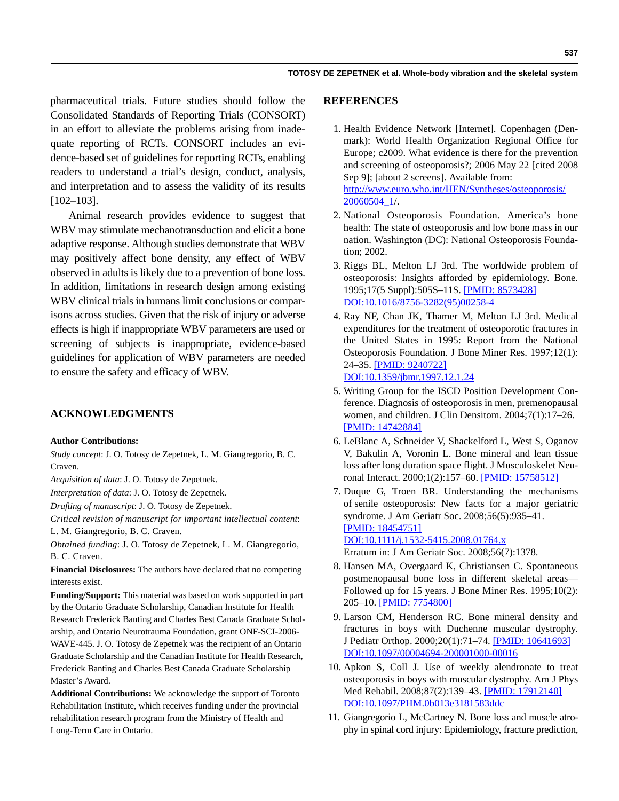pharmaceutical trials. Future studies should follow the Consolidated Standards of Reporting Trials (CONSORT) in an effort to alleviate the problems arising from inadequate reporting of RCTs. CONSORT includes an evidence-based set of guidelines for reporting RCTs, enabling readers to understand a trial's design, conduct, analysis, and interpretation and to assess the validity of its results [102–103].

Animal research provides evidence to suggest that WBV may stimulate mechanotransduction and elicit a bone adaptive response. Although studies demonstrate that WBV may positively affect bone density, any effect of WBV observed in adults is likely due to a prevention of bone loss. In addition, limitations in research design among existing WBV clinical trials in humans limit conclusions or comparisons across studies. Given that the risk of injury or adverse effects is high if inappropriate WBV parameters are used or screening of subjects is inappropriate, evidence-based guidelines for application of WBV parameters are needed to ensure the safety and efficacy of WBV.

## **ACKNOWLEDGMENTS**

## **Author Contributions:**

*Study concept*: J. O. Totosy de Zepetnek, L. M. Giangregorio, B. C. Craven.

*Acquisition of data*: J. O. Totosy de Zepetnek.

*Interpretation of data*: J. O. Totosy de Zepetnek.

*Drafting of manuscript*: J. O. Totosy de Zepetnek.

*Critical revision of manuscript for important intellectual content*: L. M. Giangregorio, B. C. Craven.

*Obtained funding*: J. O. Totosy de Zepetnek, L. M. Giangregorio, B. C. Craven.

**Financial Disclosures:** The authors have declared that no competing interests exist.

**Funding/Support:** This material was based on work supported in part by the Ontario Graduate Scholarship, Canadian Institute for Health Research Frederick Banting and Charles Best Canada Graduate Scholarship, and Ontario Neurotrauma Foundation, grant ONF-SCI-2006- WAVE-445. J. O. Totosy de Zepetnek was the recipient of an Ontario Graduate Scholarship and the Canadian Institute for Health Research, Frederick Banting and Charles Best Canada Graduate Scholarship Master's Award.

**Additional Contributions:** We acknowledge the support of Toronto Rehabilitation Institute, which receives funding under the provincial rehabilitation research program from the Ministry of Health and Long-Term Care in Ontario.

## **REFERENCES**

- 1. Health Evidence Network [Internet]. Copenhagen (Denmark): World Health Organization Regional Office for Europe; c2009. What evidence is there for the prevention and screening of osteoporosis?; 2006 May 22 [cited 2008 Sep 9]; [about 2 screens]. Available from: [http://www.euro.who.int/HEN/Syntheses/osteoporosis/](http://www.euro.who.int/HEN/Syntheses/osteoporosis/20060504_1) [20060504\\_1](http://www.euro.who.int/HEN/Syntheses/osteoporosis/20060504_1)/.
- 2. National Osteoporosis Foundation. America's bone health: The state of osteoporosis and low bone mass in our nation. Washington (DC): National Osteoporosis Foundation; 2002.
- 3. Riggs BL, Melton LJ 3rd. The worldwide problem of osteoporosis: Insights afforded by epidemiology. Bone. 1995;17(5 Suppl):505S–11S. [\[PMID: 8573428\]](http://www.ncbi.nlm.nih.gov/pubmed/8573428) [D](http://www.ncbi.nlm.nih.gov/pubmed/8573428)[OI:10.1016/8756-3282\(95\)00258-4](http://dx.doi.org/10.1016/8756-3282%2895%2900258-4)
- 4. Ray NF, Chan JK, Thamer M, Melton LJ 3rd. Medical expenditures for the treatment of osteoporotic fractures in the United States in 1995: Report from the National Osteoporosis Foundation. J Bone Miner Res. 1997;12(1): 24–35. [\[PMID: 9240722\]](http://www.ncbi.nlm.nih.gov/pubmed/9240722) [D](http://www.ncbi.nlm.nih.gov/pubmed/9240722)[OI:10.1359/jbmr.1997.12.1.24](http://dx.doi.org/10.1359/jbmr.1997.12.1.24)
- 5. Writing Group for the ISCD Position Development Conference. Diagnosis of osteoporosis in men, premenopausal women, and children. J Clin Densitom. 2004;7(1):17–26. [\[PMID: 14742884\]](http://www.ncbi.nlm.nih.gov/pubmed/14742884)
- 6. LeBlanc A, Schneider V, Shackelford L, West S, Oganov V, Bakulin A, Voronin L. Bone mineral and lean tissue loss after long duration space flight. J Musculoskelet Neuronal Interact. 2000;1(2):157–60. [\[PMID: 15758512\]](http://www.ncbi.nlm.nih.gov/pubmed/15758512)
- 7. Duque G, Troen BR. Understanding the mechanisms of senile osteoporosis: New facts for a major geriatric syndrome. J Am Geriatr Soc. 2008;56(5):935–41. [\[PMID: 18454751\]](http://www.ncbi.nlm.nih.gov/pubmed/18454751)

## [D](http://www.ncbi.nlm.nih.gov/pubmed/18454751)[OI:10.1111/j.1532-5415.2008.01764.x](http://dx.doi.org/10.1111/j.1532-5415.2008.01764.x)

Erratum in: J Am Geriatr Soc. 2008;56(7):1378.

- 8. Hansen MA, Overgaard K, Christiansen C. Spontaneous postmenopausal bone loss in different skeletal areas— Followed up for 15 years. J Bone Miner Res. 1995;10(2): 205–10. [\[PMID: 7754800\]](http://www.ncbi.nlm.nih.gov/pubmed/7754800)
- 9. Larson CM, Henderson RC. Bone mineral density and fractures in boys with Duchenne muscular dystrophy. J Pediatr Orthop. 2000;20(1):71–74. [\[PMID: 10641693\]](http://www.ncbi.nlm.nih.gov/pubmed/10641693) [D](http://www.ncbi.nlm.nih.gov/pubmed/10641693)[OI:10.1097/00004694-200001000-00016](http://dx.doi.org/10.1097/00004694-200001000-00016)
- 10. Apkon S, Coll J. Use of weekly alendronate to treat osteoporosis in boys with muscular dystrophy. Am J Phys Med Rehabil. 2008;87(2):139–43. [\[PMID: 17912140\]](http://www.ncbi.nlm.nih.gov/pubmed/17912140) [D](http://www.ncbi.nlm.nih.gov/pubmed/17912140)[OI:10.1097/PHM.0b013e3181583ddc](http://dx.doi.org/10.1097/PHM.0b013e3181583ddc)
- 11. Giangregorio L, McCartney N. Bone loss and muscle atrophy in spinal cord injury: Epidemiology, fracture prediction,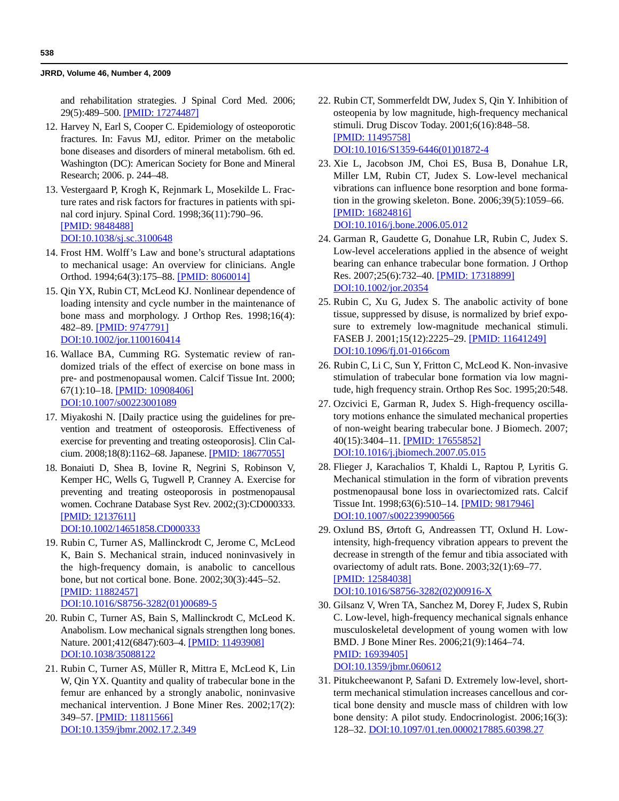and rehabilitation strategies. J Spinal Cord Med. 2006; 29(5):489–500. [\[PMID: 17274487\]](http://www.ncbi.nlm.nih.gov/pubmed/17274487)

- 12. Harvey N, Earl S, Cooper C. Epidemiology of osteoporotic fractures. In: Favus MJ, editor. Primer on the metabolic bone diseases and disorders of mineral metabolism. 6th ed. Washington (DC): American Society for Bone and Mineral Research; 2006. p. 244–48.
- 13. Vestergaard P, Krogh K, Rejnmark L, Mosekilde L. Fracture rates and risk factors for fractures in patients with spinal cord injury. Spinal Cord. 1998;36(11):790–96. [\[PMID: 9848488\]](http://www.ncbi.nlm.nih.gov/pubmed/9848488) [D](http://www.ncbi.nlm.nih.gov/pubmed/9848488)[OI:10.1038/sj.sc.3100648](http://dx.doi.org/10.1038/sj.sc.3100648)
- 14. Frost HM. Wolff's Law and bone's structural adaptations to mechanical usage: An overview for clinicians. Angle Orthod. 1994;64(3):175–88. [\[PMID: 8060014\]](http://www.ncbi.nlm.nih.gov/pubmed/8060014)
- 15. Qin YX, Rubin CT, McLeod KJ. Nonlinear dependence of loading intensity and cycle number in the maintenance of bone mass and morphology. J Orthop Res. 1998;16(4): 482–89. [\[PMID: 9747791\]](http://www.ncbi.nlm.nih.gov/pubmed/9747791) [D](http://www.ncbi.nlm.nih.gov/pubmed/9747791)[OI:10.1002/jor.1100160414](http://dx.doi.org/10.1002/jor.1100160414)
- 16. Wallace BA, Cumming RG. Systematic review of randomized trials of the effect of exercise on bone mass in pre- and postmenopausal women. Calcif Tissue Int. 2000; 67(1):10–18. [\[PMID: 10908406\]](http://www.ncbi.nlm.nih.gov/pubmed/10908406)

[D](http://www.ncbi.nlm.nih.gov/pubmed/10908406)[OI:10.1007/s00223001089](http://dx.doi.org/10.1007/s00223001089)

- 17. Miyakoshi N. [Daily practice using the guidelines for prevention and treatment of osteoporosis. Effectiveness of exercise for preventing and treating osteoporosis]. Clin Calcium. 2008;18(8):1162–68. Japanese. [\[PMID: 18677055\]](http://www.ncbi.nlm.nih.gov/pubmed/18677055)
- 18. Bonaiuti D, Shea B, Iovine R, Negrini S, Robinson V, Kemper HC, Wells G, Tugwell P, Cranney A. Exercise for preventing and treating osteoporosis in postmenopausal women. Cochrane Database Syst Rev. 2002;(3):CD000333. [\[PMID: 12137611\]](http://www.ncbi.nlm.nih.gov/pubmed/12137611) [D](http://www.ncbi.nlm.nih.gov/pubmed/12137611)[OI:10.1002/14651858.CD000333](http://dx.doi.org/10.1002/14651858.CD000333)

- 19. Rubin C, Turner AS, Mallinckrodt C, Jerome C, McLeod K, Bain S. Mechanical strain, induced noninvasively in the high-frequency domain, is anabolic to cancellous bone, but not cortical bone. Bone. 2002;30(3):445–52. [\[PMID: 11882457\]](http://www.ncbi.nlm.nih.gov/pubmed/11882457) [D](http://www.ncbi.nlm.nih.gov/pubmed/11882457)[OI:10.1016/S8756-3282\(01\)00689-5](http://dx.doi.org/10.1016/S8756-3282%2801%2900689-5)
- 20. Rubin C, Turner AS, Bain S, Mallinckrodt C, McLeod K. Anabolism. Low mechanical signals strengthen long bones. Nature. 2001;412(6847):603–4. [\[PMID: 11493908\]](http://www.ncbi.nlm.nih.gov/pubmed/11493908) [D](http://www.ncbi.nlm.nih.gov/pubmed/11493908)[OI:10.1038/35088122](http://dx.doi.org/10.1038/35088122)
- 21. Rubin C, Turner AS, Müller R, Mittra E, McLeod K, Lin W, Qin YX. Quantity and quality of trabecular bone in the femur are enhanced by a strongly anabolic, noninvasive mechanical intervention. J Bone Miner Res. 2002;17(2): 349–57. [\[PMID: 11811566\]](http://www.ncbi.nlm.nih.gov/pubmed/11811566) [D](http://www.ncbi.nlm.nih.gov/pubmed/11811566)[OI:10.1359/jbmr.2002.17.2.349](http://dx.doi.org/10.1359/jbmr.2002.17.2.349)
- 22. Rubin CT, Sommerfeldt DW, Judex S, Qin Y. Inhibition of osteopenia by low magnitude, high-frequency mechanical stimuli. Drug Discov Today. 2001;6(16):848–58. [\[PMID: 11495758\]](http://www.ncbi.nlm.nih.gov/pubmed/11495758) [D](http://www.ncbi.nlm.nih.gov/pubmed/11495758)[OI:10.1016/S1359-6446\(01\)01872-4](http://dx.doi.org/10.1016/S1359-6446%2801%2901872-4)
- 23. Xie L, Jacobson JM, Choi ES, Busa B, Donahue LR, Miller LM, Rubin CT, Judex S. Low-level mechanical vibrations can influence bone resorption and bone formation in the growing skeleton. Bone. 2006;39(5):1059–66. [\[PMID: 16824816\]](http://www.ncbi.nlm.nih.gov/pubmed/16824816) [D](http://www.ncbi.nlm.nih.gov/pubmed/16824816)[OI:10.1016/j.bone.2006.05.012](http://dx.doi.org/10.1016/j.bone.2006.05.012)
- 24. Garman R, Gaudette G, Donahue LR, Rubin C, Judex S. Low-level accelerations applied in the absence of weight bearing can enhance trabecular bone formation. J Orthop Res. 2007;25(6):732–40. [\[PMID: 17318899\]](http://www.ncbi.nlm.nih.gov/pubmed/17318899) [D](http://www.ncbi.nlm.nih.gov/pubmed/17318899)[OI:10.1002/jor.20354](http://dx.doi.org/10.1002/jor.20354)
- 25. Rubin C, Xu G, Judex S. The anabolic activity of bone tissue, suppressed by disuse, is normalized by brief exposure to extremely low-magnitude mechanical stimuli. FASEB J. 2001;15(12):2225–29. [\[PMID: 11641249\]](http://www.ncbi.nlm.nih.gov/pubmed/11641249) [D](http://www.ncbi.nlm.nih.gov/pubmed/11641249)[OI:10.1096/fj.01-0166com](http://dx.doi.org/10.1096/fj.01-0166com)
- 26. Rubin C, Li C, Sun Y, Fritton C, McLeod K. Non-invasive stimulation of trabecular bone formation via low magnitude, high frequency strain. Orthop Res Soc. 1995;20:548.
- 27. Ozcivici E, Garman R, Judex S. High-frequency oscillatory motions enhance the simulated mechanical properties of non-weight bearing trabecular bone. J Biomech. 2007; 40(15):3404–11. [\[PMID: 17655852\]](http://www.ncbi.nlm.nih.gov/pubmed/17655852) [D](http://www.ncbi.nlm.nih.gov/pubmed/17655852)[OI:10.1016/j.jbiomech.2007.05.015](http://dx.doi.org/10.1016/j.jbiomech.2007.05.015)
- 28. Flieger J, Karachalios T, Khaldi L, Raptou P, Lyritis G. Mechanical stimulation in the form of vibration prevents postmenopausal bone loss in ovariectomized rats. Calcif Tissue Int. 1998;63(6):510–14. [\[PMID: 9817946\]](http://www.ncbi.nlm.nih.gov/pubmed/9817946) [D](http://www.ncbi.nlm.nih.gov/pubmed/9817946)[OI:10.1007/s002239900566](http://dx.doi.org/10.1007/s002239900566)
- 29. Oxlund BS, Ørtoft G, Andreassen TT, Oxlund H. Lowintensity, high-frequency vibration appears to prevent the decrease in strength of the femur and tibia associated with ovariectomy of adult rats. Bone. 2003;32(1):69–77. [\[PMID: 12584038\]](http://www.ncbi.nlm.nih.gov/pubmed/12584038) [D](http://www.ncbi.nlm.nih.gov/pubmed/12584038)[OI:10.1016/S8756-3282\(02\)00916-X](http://dx.doi.org/10.1016/S8756-3282%2802%2900916-X)
- 30. Gilsanz V, Wren TA, Sanchez M, Dorey F, Judex S, Rubin C. Low-level, high-frequency mechanical signals enhance musculoskeletal development of young women with low BMD. J Bone Miner Res. 2006;21(9):1464–74. [PMID: 16939405\]](http://www.ncbi.nlm.nih.gov/pubmed/16939405) [D](http://www.ncbi.nlm.nih.gov/pubmed/16939405)[OI:10.1359/jbmr.060612](http://dx.doi.org/10.1359/jbmr.060612)
- 31. Pitukcheewanont P, Safani D. Extremely low-level, shortterm mechanical stimulation increases cancellous and cortical bone density and muscle mass of children with low bone density: A pilot study. Endocrinologist. 2006;16(3): 128–32. [DOI:10.1097/01.ten.0000217885.60398.27](http://dx.doi.org/10.1097/01.ten.0000217885.60398.27)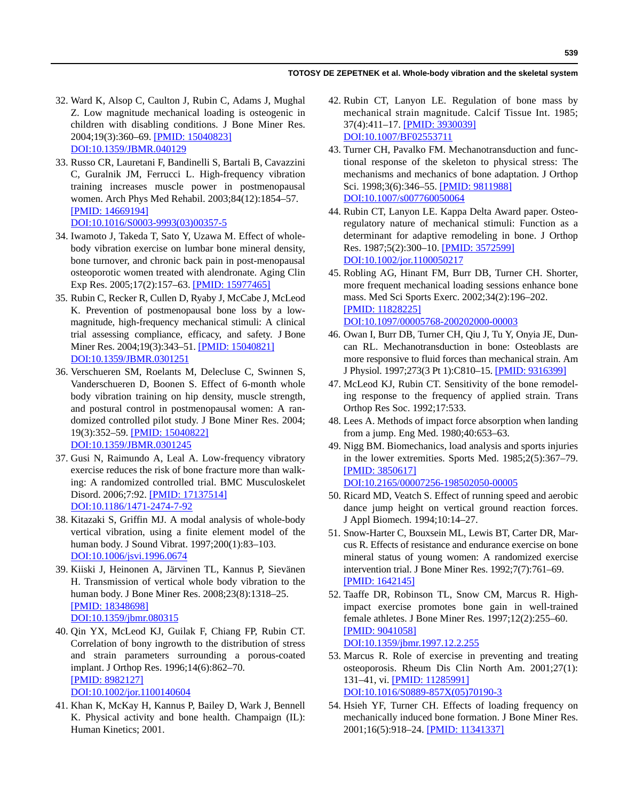- 32. Ward K, Alsop C, Caulton J, Rubin C, Adams J, Mughal Z. Low magnitude mechanical loading is osteogenic in children with disabling conditions. J Bone Miner Res. 2004;19(3):360–69. [\[PMID: 15040823\]](http://www.ncbi.nlm.nih.gov/pubmed/15040823) [D](http://www.ncbi.nlm.nih.gov/pubmed/15040823)[OI:10.1359/JBMR.040129](http://dx.doi.org/10.1359/JBMR.040129)
- 33. Russo CR, Lauretani F, Bandinelli S, Bartali B, Cavazzini C, Guralnik JM, Ferrucci L. High-frequency vibration training increases muscle power in postmenopausal women. Arch Phys Med Rehabil. 2003;84(12):1854–57. [\[PMID: 14669194\]](http://www.ncbi.nlm.nih.gov/pubmed/14669194) [D](http://www.ncbi.nlm.nih.gov/pubmed/14669194)[OI:10.1016/S0003-9993\(03\)00357-5](http://dx.doi.org/10.1016/S0003-9993%2803%2900357-5)
- 34. Iwamoto J, Takeda T, Sato Y, Uzawa M. Effect of wholebody vibration exercise on lumbar bone mineral density, bone turnover, and chronic back pain in post-menopausal osteoporotic women treated with alendronate. Aging Clin Exp Res. 2005;17(2):157–63. [\[PMID: 15977465\]](http://www.ncbi.nlm.nih.gov/pubmed/15977465)
- 35. Rubin C, Recker R, Cullen D, Ryaby J, McCabe J, McLeod K. Prevention of postmenopausal bone loss by a lowmagnitude, high-frequency mechanical stimuli: A clinical trial assessing compliance, efficacy, and safety. J Bone Miner Res. 2004;19(3):343–51. [\[PMID: 15040821\]](http://www.ncbi.nlm.nih.gov/pubmed/15040821) [D](http://www.ncbi.nlm.nih.gov/pubmed/15040821)[OI:10.1359/JBMR.0301251](http://dx.doi.org/10.1359/JBMR.0301251)
- 36. Verschueren SM, Roelants M, Delecluse C, Swinnen S, Vanderschueren D, Boonen S. Effect of 6-month whole body vibration training on hip density, muscle strength, and postural control in postmenopausal women: A randomized controlled pilot study. J Bone Miner Res. 2004; 19(3):352–59. [\[PMID: 15040822\]](http://www.ncbi.nlm.nih.gov/pubmed/15040822) [D](http://www.ncbi.nlm.nih.gov/pubmed/15040822)[OI:10.1359/JBMR.0301245](http://dx.doi.org/10.1359/JBMR.0301245)
- 37. Gusi N, Raimundo A, Leal A. Low-frequency vibratory exercise reduces the risk of bone fracture more than walking: A randomized controlled trial. BMC Musculoskelet Disord. 2006;7:92. [\[PMID: 17137514\]](http://www.ncbi.nlm.nih.gov/pubmed/17137514) [D](http://www.ncbi.nlm.nih.gov/pubmed/17137514)[OI:10.1186/1471-2474-7-92](http://dx.doi.org/10.1186/1471-2474-7-92)
- 38. Kitazaki S, Griffin MJ. A modal analysis of whole-body vertical vibration, using a finite element model of the human body. J Sound Vibrat. 1997;200(1):83–103. [DOI:10.1006/jsvi.1996.0674](http://dx.doi.org/10.1006/jsvi.1996.0674)
- 39. Kiiski J, Heinonen A, Järvinen TL, Kannus P, Sievänen H. Transmission of vertical whole body vibration to the human body. J Bone Miner Res. 2008;23(8):1318–25. [\[PMID: 18348698\]](http://www.ncbi.nlm.nih.gov/pubmed/18348698) [D](http://www.ncbi.nlm.nih.gov/pubmed/18348698)[OI:10.1359/jbmr.080315](http://dx.doi.org/10.1359/jbmr.080315)
- 40. Qin YX, McLeod KJ, Guilak F, Chiang FP, Rubin CT. Correlation of bony ingrowth to the distribution of stress and strain parameters surrounding a porous-coated implant. J Orthop Res. 1996;14(6):862–70. [\[PMID: 8982127\]](http://www.ncbi.nlm.nih.gov/pubmed/8982127) [D](http://www.ncbi.nlm.nih.gov/pubmed/8982127)[OI:10.1002/jor.1100140604](http://dx.doi.org/10.1002/jor.1100140604)
- 41. Khan K, McKay H, Kannus P, Bailey D, Wark J, Bennell K. Physical activity and bone health. Champaign (IL): Human Kinetics; 2001.
- 42. Rubin CT, Lanyon LE. Regulation of bone mass by mechanical strain magnitude. Calcif Tissue Int. 1985; 37(4):411–17. [\[PMID: 3930039\]](http://www.ncbi.nlm.nih.gov/pubmed/3930039) [D](http://www.ncbi.nlm.nih.gov/pubmed/3930039)[OI:10.1007/BF02553711](http://dx.doi.org/10.1007/BF02553711)
- 43. Turner CH, Pavalko FM. Mechanotransduction and functional response of the skeleton to physical stress: The mechanisms and mechanics of bone adaptation. J Orthop Sci. 1998;3(6):346-55. [\[PMID: 9811988\]](http://www.ncbi.nlm.nih.gov/pubmed/9811988) [DOI:10.1007/s007760050064](http://dx.doi.org/10.1007/s007760050064)
- 44. Rubin CT, Lanyon LE. Kappa Delta Award paper. Osteoregulatory nature of mechanical stimuli: Function as a determinant for adaptive remodeling in bone. J Orthop Res. 1987;5(2):300–10. [\[PMID: 3572599\]](http://www.ncbi.nlm.nih.gov/pubmed/3572599) [D](http://www.ncbi.nlm.nih.gov/pubmed/3572599)[OI:10.1002/jor.1100050217](http://dx.doi.org/10.1002/jor.1100050217)
- 45. Robling AG, Hinant FM, Burr DB, Turner CH. Shorter, more frequent mechanical loading sessions enhance bone mass. Med Sci Sports Exerc. 2002;34(2):196–202. [\[PMID: 11828225\]](http://www.ncbi.nlm.nih.gov/pubmed/11828225) [DOI:10.1097/00005768-200202000-00003](http://dx.doi.org/10.1097/00005768-200202000-00003)
- 46. Owan I, Burr DB, Turner CH, Qiu J, Tu Y, Onyia JE, Duncan RL. Mechanotransduction in bone: Osteoblasts are more responsive to fluid forces than mechanical strain. Am J Physiol. 1997;273(3 Pt 1):C810–15. [\[PMID: 9316399\]](http://www.ncbi.nlm.nih.gov/pubmed/9316399)
- 47. McLeod KJ, Rubin CT. Sensitivity of the bone remodeling response to the frequency of applied strain. Trans Orthop Res Soc. 1992;17:533.
- 48. Lees A. Methods of impact force absorption when landing from a jump. Eng Med. 1980;40:653–63.
- 49. Nigg BM. Biomechanics, load analysis and sports injuries in the lower extremities. Sports Med. 1985;2(5):367–79. [\[PMID: 3850617\]](http://www.ncbi.nlm.nih.gov/pubmed/3850617) [D](http://www.ncbi.nlm.nih.gov/pubmed/3850617)[OI:10.2165/00007256-198502050-00005](http://dx.doi.org/10.2165/00007256-198502050-00005)
- 50. Ricard MD, Veatch S. Effect of running speed and aerobic dance jump height on vertical ground reaction forces. J Appl Biomech. 1994;10:14–27.
- 51. Snow-Harter C, Bouxsein ML, Lewis BT, Carter DR, Marcus R. Effects of resistance and endurance exercise on bone mineral status of young women: A randomized exercise intervention trial. J Bone Miner Res. 1992;7(7):761–69. [\[PMID: 1642145\]](http://www.ncbi.nlm.nih.gov/pubmed/1642145)
- 52. Taaffe DR, Robinson TL, Snow CM, Marcus R. Highimpact exercise promotes bone gain in well-trained female athletes. J Bone Miner Res. 1997;12(2):255–60. [\[PMID: 9041058\]](http://www.ncbi.nlm.nih.gov/pubmed/9041058) [D](http://www.ncbi.nlm.nih.gov/pubmed/9041058)[OI:10.1359/jbmr.1997.12.2.255](http://dx.doi.org/10.1359/jbmr.1997.12.2.255)
- 53. Marcus R. Role of exercise in preventing and treating osteoporosis. Rheum Dis Clin North Am. 2001;27(1): 131–41, vi. [\[PMID: 11285991\]](http://www.ncbi.nlm.nih.gov/pubmed/11285991) [D](http://www.ncbi.nlm.nih.gov/pubmed/11285991)[OI:10.1016/S0889-857X\(05\)70190-3](http://dx.doi.org/10.1016/S0889-857X%2805%2970190-3)
- 54. Hsieh YF, Turner CH. Effects of loading frequency on mechanically induced bone formation. J Bone Miner Res. 2001;16(5):918–24. [\[PMID: 11341337\]](http://www.ncbi.nlm.nih.gov/pubmed/11341337)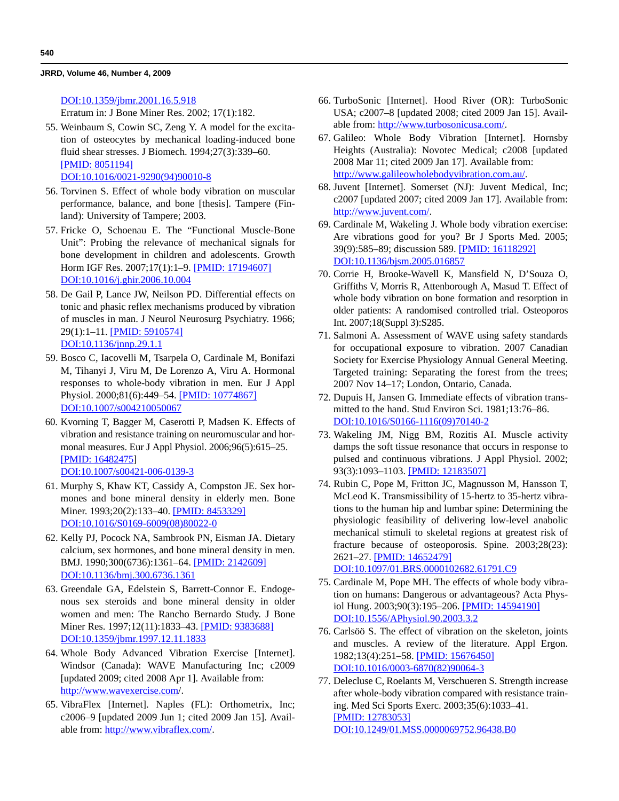[D](http://www.ncbi.nlm.nih.gov/pubmed/11341337)[OI:10.1359/jbmr.2001.16.5.918](http://dx.doi.org/10.1359/jbmr.2001.16.5.918) Erratum in: J Bone Miner Res. 2002; 17(1):182.

 55. Weinbaum S, Cowin SC, Zeng Y. A model for the excitation of osteocytes by mechanical loading-induced bone fluid shear stresses. J Biomech. 1994;27(3):339–60. [\[PMID: 8051194\]](http://www.ncbi.nlm.nih.gov/pubmed/8051194)

[D](http://www.ncbi.nlm.nih.gov/pubmed/8051194)[OI:10.1016/0021-9290\(94\)90010-8](http://dx.doi.org/10.1016/0021-9290%2894%2990010-8)

- 56. Torvinen S. Effect of whole body vibration on muscular performance, balance, and bone [thesis]. Tampere (Finland): University of Tampere; 2003.
- 57. Fricke O, Schoenau E. The "Functional Muscle-Bone Unit": Probing the relevance of mechanical signals for bone development in children and adolescents. Growth Horm IGF Res. 2007;17(1):1–9. [\[PMID: 17194607\]](http://www.ncbi.nlm.nih.gov/pubmed/17194607) [D](http://www.ncbi.nlm.nih.gov/pubmed/17194607)[OI:10.1016/j.ghir.2006.10.004](http://dx.doi.org/10.1016/j.ghir.2006.10.004)
- 58. De Gail P, Lance JW, Neilson PD. Differential effects on tonic and phasic reflex mechanisms produced by vibration of muscles in man. J Neurol Neurosurg Psychiatry. 1966; 29(1):1–11. [\[PMID: 5910574\]](http://www.ncbi.nlm.nih.gov/pubmed/5910574) [D](http://www.ncbi.nlm.nih.gov/pubmed/5910574)[OI:10.1136/jnnp.29.1.1](http://dx.doi.org/10.1136/jnnp.29.1.1)
- 59. Bosco C, Iacovelli M, Tsarpela O, Cardinale M, Bonifazi M, Tihanyi J, Viru M, De Lorenzo A, Viru A. Hormonal responses to whole-body vibration in men. Eur J Appl Physiol. 2000;81(6):449–54. [\[PMID: 10774867\]](http://www.ncbi.nlm.nih.gov/pubmed/10774867) [D](http://www.ncbi.nlm.nih.gov/pubmed/10774867)[OI:10.1007/s004210050067](http://dx.doi.org/10.1007/s004210050067)
- 60. Kvorning T, Bagger M, Caserotti P, Madsen K. Effects of vibration and resistance training on neuromuscular and hormonal measures. Eur J Appl Physiol. 2006;96(5):615–25. [\[PMID: 16482475](http://www.ncbi.nlm.nih.gov/pubmed/16482475)] [DOI:10.1007/s00421-006-0139-3](http://dx.doi.org/10.1007/s00421-006-0139-3)
- 61. Murphy S, Khaw KT, Cassidy A, Compston JE. Sex hormones and bone mineral density in elderly men. Bone Miner. 1993;20(2):133–40. [\[PMID: 8453329\]](http://www.ncbi.nlm.nih.gov/pubmed/8453329) [D](http://www.ncbi.nlm.nih.gov/pubmed/8453329)[OI:10.1016/S0169-6009\(08\)80022-0](http://dx.doi.org/10.1016/S0169-6009%2808%2980022-0)
- 62. Kelly PJ, Pocock NA, Sambrook PN, Eisman JA. Dietary calcium, sex hormones, and bone mineral density in men. BMJ. 1990;300(6736):1361–64. [\[PMID: 2142609\]](http://www.ncbi.nlm.nih.gov/pubmed/2142609) [D](http://www.ncbi.nlm.nih.gov/pubmed/2142609)[OI:10.1136/bmj.300.6736.1361](http://dx.doi.org/10.1136/bmj.300.6736.1361)
- 63. Greendale GA, Edelstein S, Barrett-Connor E. Endogenous sex steroids and bone mineral density in older women and men: The Rancho Bernardo Study. J Bone Miner Res. 1997;12(11):1833-43. [\[PMID: 9383688\]](http://www.ncbi.nlm.nih.gov/pubmed/9383688) [D](http://www.ncbi.nlm.nih.gov/pubmed/9383688)[OI:10.1359/jbmr.1997.12.11.1833](http://dx.doi.org/10.1359/jbmr.1997.12.11.1833)
- 64. Whole Body Advanced Vibration Exercise [Internet]. Windsor (Canada): WAVE Manufacturing Inc; c2009 [updated 2009; cited 2008 Apr 1]. Available from: <http://www.wavexercise.com>/.
- 65. VibraFlex [Internet]. Naples (FL): Orthometrix, Inc; c2006–9 [updated 2009 Jun 1; cited 2009 Jan 15]. Available from: [http://www.vibraflex.com/.](http://www.vibraflex.com/)
- 66. TurboSonic [Internet]. Hood River (OR): TurboSonic USA; c2007–8 [updated 2008; cited 2009 Jan 15]. Available from: <http://www.turbosonicusa.com/>.
- 67. Galileo: Whole Body Vibration [Internet]. Hornsby Heights (Australia): Novotec Medical; c2008 [updated 2008 Mar 11; cited 2009 Jan 17]. Available from: [http://www.galileowholebodyvibration.com.au/.](http://www.galileowholebodyvibration.com.au/)
- 68. Juvent [Internet]. Somerset (NJ): Juvent Medical, Inc; c2007 [updated 2007; cited 2009 Jan 17]. Available from: [http://www.juvent.com/.](http://www.juvent.com/)
- 69. Cardinale M, Wakeling J. Whole body vibration exercise: Are vibrations good for you? Br J Sports Med. 2005; 39(9):585–89; discussion 589. [\[PMID: 16118292\]](http://www.ncbi.nlm.nih.gov/pubmed/16118292) [D](http://www.ncbi.nlm.nih.gov/pubmed/16118292)[OI:10.1136/bjsm.2005.016857](http://dx.doi.org/10.1136/bjsm.2005.016857)
- 70. Corrie H, Brooke-Wavell K, Mansfield N, D'Souza O, Griffiths V, Morris R, Attenborough A, Masud T. Effect of whole body vibration on bone formation and resorption in older patients: A randomised controlled trial. Osteoporos Int. 2007;18(Suppl 3):S285.
- 71. Salmoni A. Assessment of WAVE using safety standards for occupational exposure to vibration. 2007 Canadian Society for Exercise Physiology Annual General Meeting. Targeted training: Separating the forest from the trees; 2007 Nov 14–17; London, Ontario, Canada.
- 72. Dupuis H, Jansen G. Immediate effects of vibration transmitted to the hand. Stud Environ Sci. 1981;13:76–86. [DOI:10.1016/S0166-1116\(09\)70140-2](http://dx.doi.org/10.1016/S0166-1116%2809%2970140-2)
- 73. Wakeling JM, Nigg BM, Rozitis AI. Muscle activity damps the soft tissue resonance that occurs in response to pulsed and continuous vibrations. J Appl Physiol. 2002; 93(3):1093–1103. [\[PMID: 12183507\]](http://www.ncbi.nlm.nih.gov/pubmed/12183507)
- 74. Rubin C, Pope M, Fritton JC, Magnusson M, Hansson T, McLeod K. Transmissibility of 15-hertz to 35-hertz vibrations to the human hip and lumbar spine: Determining the physiologic feasibility of delivering low-level anabolic mechanical stimuli to skeletal regions at greatest risk of fracture because of osteoporosis. Spine. 2003;28(23): 2621–27. [\[PMID: 14652479\]](http://www.ncbi.nlm.nih.gov/pubmed/14652479) [D](http://www.ncbi.nlm.nih.gov/pubmed/14652479)[OI:10.1097/01.BRS.0000102682.61791.C9](http://dx.doi.org/10.1097/01.BRS.0000102682.61791.C9)
- 75. Cardinale M, Pope MH. The effects of whole body vibration on humans: Dangerous or advantageous? Acta Physiol Hung. 2003;90(3):195–206. [\[PMID: 14594190\]](http://www.ncbi.nlm.nih.gov/pubmed/14594190) [D](http://www.ncbi.nlm.nih.gov/pubmed/14594190)[OI:10.1556/APhysiol.90.2003.3.2](http://dx.doi.org/10.1556/APhysiol.90.2003.3.2)
- 76. Carlsöö S. The effect of vibration on the skeleton, joints and muscles. A review of the literature. Appl Ergon. 1982;13(4):251–58. [\[PMID: 15676450\]](http://www.ncbi.nlm.nih.gov/pubmed/15676450) [D](http://www.ncbi.nlm.nih.gov/pubmed/15676450)[OI:10.1016/0003-6870\(82\)90064-3](http://dx.doi.org/10.1016/0003-6870%2882%2990064-3)
- 77. Delecluse C, Roelants M, Verschueren S. Strength increase after whole-body vibration compared with resistance training. Med Sci Sports Exerc. 2003;35(6):1033–41. [\[PMID: 12783053\]](http://www.ncbi.nlm.nih.gov/pubmed/12783053) [D](http://www.ncbi.nlm.nih.gov/pubmed/12783053)[OI:10.1249/01.MSS.0000069752.96438.B0](http://dx.doi.org/10.1249/01.MSS.0000069752.96438.B0)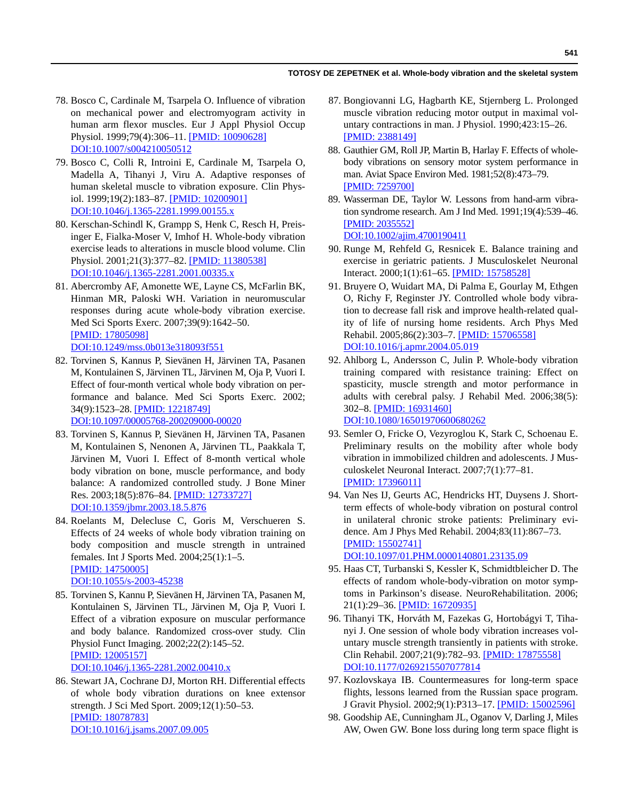- 78. Bosco C, Cardinale M, Tsarpela O. Influence of vibration on mechanical power and electromyogram activity in human arm flexor muscles. Eur J Appl Physiol Occup Physiol. 1999;79(4):306–11. [\[PMID: 10090628\]](http://www.ncbi.nlm.nih.gov/pubmed/10090628) [D](http://www.ncbi.nlm.nih.gov/pubmed/10090628)[OI:10.1007/s004210050512](http://dx.doi.org/10.1007/s004210050512)
- 79. Bosco C, Colli R, Introini E, Cardinale M, Tsarpela O, Madella A, Tihanyi J, Viru A. Adaptive responses of human skeletal muscle to vibration exposure. Clin Physiol. 1999;19(2):183–87. [\[PMID: 10200901\]](http://www.ncbi.nlm.nih.gov/pubmed/10200901) [D](http://www.ncbi.nlm.nih.gov/pubmed/10200901)[OI:10.1046/j.1365-2281.1999.00155.x](http://dx.doi.org/10.1046/j.1365-2281.1999.00155.x)
- 80. Kerschan-Schindl K, Grampp S, Henk C, Resch H, Preisinger E, Fialka-Moser V, Imhof H. Whole-body vibration exercise leads to alterations in muscle blood volume. Clin Physiol. 2001;21(3):377–82. [\[PMID: 11380538\]](http://www.ncbi.nlm.nih.gov/pubmed/11380538) [D](http://www.ncbi.nlm.nih.gov/pubmed/11380538)[OI:10.1046/j.1365-2281.2001.00335.x](http://dx.doi.org/10.1046/j.1365-2281.2001.00335.x)
- 81. Abercromby AF, Amonette WE, Layne CS, McFarlin BK, Hinman MR, Paloski WH. Variation in neuromuscular responses during acute whole-body vibration exercise. Med Sci Sports Exerc. 2007;39(9):1642–50. [\[PMID: 17805098\]](http://www.ncbi.nlm.nih.gov/pubmed/17805098) [D](http://www.ncbi.nlm.nih.gov/pubmed/17805098)[OI:10.1249/mss.0b013e318093f551](http://dx.doi.org/10.1249/mss.0b013e318093f551)
- 82. Torvinen S, Kannus P, Sievänen H, Järvinen TA, Pasanen M, Kontulainen S, Järvinen TL, Järvinen M, Oja P, Vuori I. Effect of four-month vertical whole body vibration on performance and balance. Med Sci Sports Exerc. 2002; 34(9):1523–28. [\[PMID: 12218749\]](http://www.ncbi.nlm.nih.gov/pubmed/12218749) [D](http://www.ncbi.nlm.nih.gov/pubmed/12218749)[OI:10.1097/00005768-200209000-00020](http://dx.doi.org/10.1097/00005768-200209000-00020)
- 83. Torvinen S, Kannus P, Sievänen H, Järvinen TA, Pasanen M, Kontulainen S, Nenonen A, Järvinen TL, Paakkala T, Järvinen M, Vuori I. Effect of 8-month vertical whole body vibration on bone, muscle performance, and body balance: A randomized controlled study. J Bone Miner Res. 2003;18(5):876–84. [\[PMID: 12733727\]](http://www.ncbi.nlm.nih.gov/pubmed/12733727) [D](http://www.ncbi.nlm.nih.gov/pubmed/12733727)[OI:10.1359/jbmr.2003.18.5.876](http://dx.doi.org/10.1359/jbmr.2003.18.5.876)
- 84. Roelants M, Delecluse C, Goris M, Verschueren S. Effects of 24 weeks of whole body vibration training on body composition and muscle strength in untrained females. Int J Sports Med. 2004;25(1):1–5. [\[PMID: 14750005\]](http://www.ncbi.nlm.nih.gov/pubmed/14750005) [D](http://www.ncbi.nlm.nih.gov/pubmed/14750005)[OI:10.1055/s-2003-45238](http://dx.doi.org/10.1055/s-2003-45238)
- 85. Torvinen S, Kannu P, Sievänen H, Järvinen TA, Pasanen M, Kontulainen S, Järvinen TL, Järvinen M, Oja P, Vuori I. Effect of a vibration exposure on muscular performance and body balance. Randomized cross-over study. Clin Physiol Funct Imaging. 2002;22(2):145–52. [\[PMID: 12005157\]](http://www.ncbi.nlm.nih.gov/pubmed/12005157) [D](http://www.ncbi.nlm.nih.gov/pubmed/12005157)[OI:10.1046/j.1365-2281.2002.00410.x](http://dx.doi.org/10.1046/j.1365-2281.2002.00410.x)

 86. Stewart JA, Cochrane DJ, Morton RH. Differential effects of whole body vibration durations on knee extensor strength. J Sci Med Sport. 2009;12(1):50–53. [\[PMID: 18078783\]](http://www.ncbi.nlm.nih.gov/pubmed/18078783) [DOI:10.1016/j.jsams.2007.09.005](http://dx.doi.org/10.1016/j.jsams.2007.09.005)

- 87. Bongiovanni LG, Hagbarth KE, Stjernberg L. Prolonged muscle vibration reducing motor output in maximal voluntary contractions in man. J Physiol. 1990;423:15–26. [\[PMID: 2388149\]](http://www.ncbi.nlm.nih.gov/pubmed/2388149)
- 88. Gauthier GM, Roll JP, Martin B, Harlay F. Effects of wholebody vibrations on sensory motor system performance in man. Aviat Space Environ Med. 1981;52(8):473–79. [\[PMID: 7259700\]](http://www.ncbi.nlm.nih.gov/pubmed/7259700)
- 89. Wasserman DE, Taylor W. Lessons from hand-arm vibration syndrome research. Am J Ind Med. 1991;19(4):539–46. [\[PMID: 2035552\]](http://www.ncbi.nlm.nih.gov/pubmed/2035552) [D](http://www.ncbi.nlm.nih.gov/pubmed/2035552)[OI:10.1002/ajim.4700190411](http://dx.doi.org/10.1002/ajim.4700190411)
- 90. Runge M, Rehfeld G, Resnicek E. Balance training and exercise in geriatric patients. J Musculoskelet Neuronal Interact. 2000;1(1):61–65. [\[PMID: 15758528\]](http://www.ncbi.nlm.nih.gov/pubmed/15758528)
- 91. Bruyere O, Wuidart MA, Di Palma E, Gourlay M, Ethgen O, Richy F, Reginster JY. Controlled whole body vibration to decrease fall risk and improve health-related quality of life of nursing home residents. Arch Phys Med Rehabil. 2005;86(2):303–7. [\[PMID: 15706558\]](http://www.ncbi.nlm.nih.gov/pubmed/15706558) [D](http://www.ncbi.nlm.nih.gov/pubmed/15706558)[OI:10.1016/j.apmr.2004.05.019](http://dx.doi.org/10.1016/j.apmr.2004.05.019)
- 92. Ahlborg L, Andersson C, Julin P. Whole-body vibration training compared with resistance training: Effect on spasticity, muscle strength and motor performance in adults with cerebral palsy. J Rehabil Med. 2006;38(5): 302–8. [\[PMID: 16931460\]](http://www.ncbi.nlm.nih.gov/pubmed/16931460) [D](http://www.ncbi.nlm.nih.gov/pubmed/16931460)[OI:10.1080/16501970600680262](http://dx.doi.org/10.1080/16501970600680262)
- 93. Semler O, Fricke O, Vezyroglou K, Stark C, Schoenau E. Preliminary results on the mobility after whole body vibration in immobilized children and adolescents. J Musculoskelet Neuronal Interact. 2007;7(1):77–81. [\[PMID: 17396011\]](http://www.ncbi.nlm.nih.gov/pubmed/17396011)
- 94. Van Nes IJ, Geurts AC, Hendricks HT, Duysens J. Shortterm effects of whole-body vibration on postural control in unilateral chronic stroke patients: Preliminary evidence. Am J Phys Med Rehabil. 2004;83(11):867–73. [\[PMID: 15502741\]](http://www.ncbi.nlm.nih.gov/pubmed/15502741)

[D](http://www.ncbi.nlm.nih.gov/pubmed/15502741)[OI:10.1097/01.PHM.0000140801.23135.09](http://dx.doi.org/10.1097/01.PHM.0000140801.23135.09)

- 95. Haas CT, Turbanski S, Kessler K, Schmidtbleicher D. The effects of random whole-body-vibration on motor symptoms in Parkinson's disease. NeuroRehabilitation. 2006; 21(1):29–36. [\[PMID: 16720935\]](http://www.ncbi.nlm.nih.gov/pubmed/16720935)
- 96. Tihanyi TK, Horváth M, Fazekas G, Hortobágyi T, Tihanyi J. One session of whole body vibration increases voluntary muscle strength transiently in patients with stroke. Clin Rehabil. 2007;21(9):782–93. [\[PMID: 17875558\]](http://www.ncbi.nlm.nih.gov/pubmed/17875558) [D](http://www.ncbi.nlm.nih.gov/pubmed/17875558)[OI:10.1177/0269215507077814](http://dx.doi.org/10.1177/0269215507077814)
- 97. Kozlovskaya IB. Countermeasures for long-term space flights, lessons learned from the Russian space program. J Gravit Physiol. 2002;9(1):P313–17. [\[PMID: 15002596\]](http://www.ncbi.nlm.nih.gov/pubmed/15002596)
- 98. Goodship AE, Cunningham JL, Oganov V, Darling J, Miles AW, Owen GW. Bone loss during long term space flight is